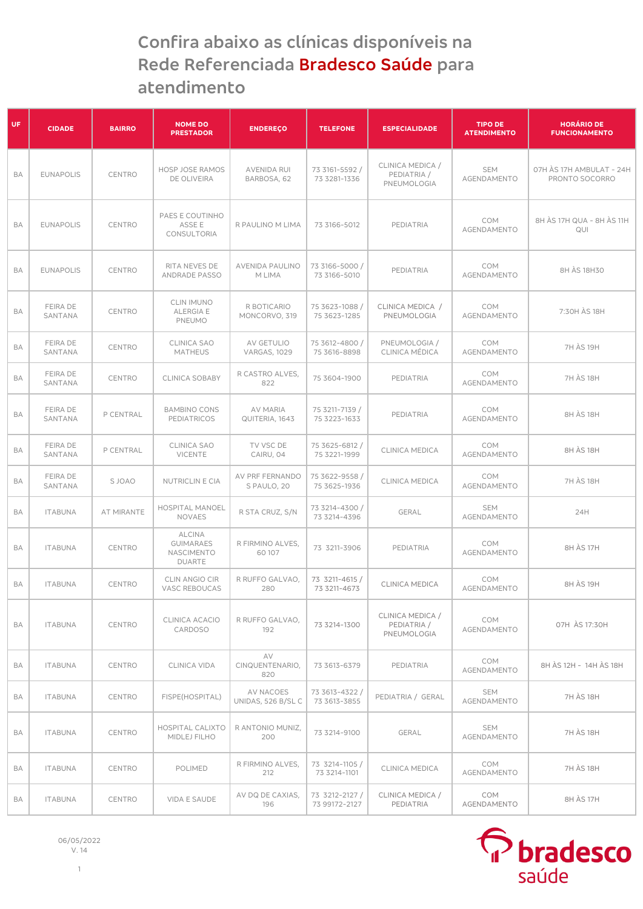**Confira abaixo as clínicas disponíveis na Rede Referenciada Bradesco Saúde para atendimento**

| <b>UF</b> | <b>CIDADE</b>              | <b>BAIRRO</b>     | <b>NOME DO</b><br><b>PRESTADOR</b>                               | <b>ENDEREÇO</b>                   | <b>TELEFONE</b>                 | <b>ESPECIALIDADE</b>                           | <b>TIPO DE</b><br><b>ATENDIMENTO</b> | <b>HORÁRIO DE</b><br><b>FUNCIONAMENTO</b>  |
|-----------|----------------------------|-------------------|------------------------------------------------------------------|-----------------------------------|---------------------------------|------------------------------------------------|--------------------------------------|--------------------------------------------|
| <b>BA</b> | <b>EUNAPOLIS</b>           | CENTRO            | <b>HOSP JOSE RAMOS</b><br>DE OLIVEIRA                            | <b>AVENIDA RUI</b><br>BARBOSA, 62 | 73 3161-5592 /<br>73 3281-1336  | CLINICA MEDICA /<br>PEDIATRIA /<br>PNEUMOLOGIA | <b>SEM</b><br>AGENDAMENTO            | 07H ÀS 17H AMBULAT - 24H<br>PRONTO SOCORRO |
| <b>BA</b> | <b>EUNAPOLIS</b>           | CENTRO            | PAES E COUTINHO<br>ASSE E<br>CONSULTORIA                         | R PAULINO M LIMA                  | 73 3166-5012                    | PEDIATRIA                                      | COM<br>AGENDAMENTO                   | 8H ÀS 17H QUA - 8H ÀS 11H<br>QUI           |
| <b>BA</b> | <b>EUNAPOLIS</b>           | CENTRO            | RITA NEVES DE<br><b>ANDRADE PASSO</b>                            | <b>AVENIDA PAULINO</b><br>M LIMA  | 73 3166-5000 /<br>73 3166-5010  | PEDIATRIA                                      | COM<br>AGENDAMENTO                   | 8H ÀS 18H30                                |
| <b>BA</b> | <b>FEIRA DE</b><br>SANTANA | CENTRO            | <b>CLIN IMUNO</b><br>ALERGIA E<br>PNEUMO                         | R BOTICARIO<br>MONCORVO, 319      | 75 3623-1088 /<br>75 3623-1285  | CLINICA MEDICA /<br>PNEUMOLOGIA                | COM<br>AGENDAMENTO                   | 7:30H AS 18H                               |
| BA        | <b>FEIRA DE</b><br>SANTANA | CENTRO            | <b>CLINICA SAO</b><br><b>MATHEUS</b>                             | AV GETULIO<br><b>VARGAS, 1029</b> | 75 3612-4800 /<br>75 3616-8898  | PNEUMOLOGIA /<br>CLINICA MÉDICA                | COM<br>AGENDAMENTO                   | 7H ÀS 19H                                  |
| BA        | <b>FEIRA DE</b><br>SANTANA | CENTRO            | <b>CLINICA SOBABY</b>                                            | R CASTRO ALVES,<br>822            | 75 3604-1900                    | PEDIATRIA                                      | <b>COM</b><br>AGENDAMENTO            | <b>7H ÀS 18H</b>                           |
| <b>BA</b> | <b>FEIRA DE</b><br>SANTANA | P CENTRAL         | <b>BAMBINO CONS</b><br><b>PEDIATRICOS</b>                        | AV MARIA<br>QUITERIA, 1643        | 75 3211-7139 /<br>75 3223-1633  | PEDIATRIA                                      | COM<br>AGENDAMENTO                   | 8H ÀS 18H                                  |
| <b>BA</b> | <b>FEIRA DE</b><br>SANTANA | P CENTRAL         | <b>CLINICA SAO</b><br><b>VICENTE</b>                             | TV VSC DE<br>CAIRU, 04            | 75 3625-6812 /<br>75 3221-1999  | <b>CLINICA MEDICA</b>                          | <b>COM</b><br>AGENDAMENTO            | 8H ÀS 18H                                  |
| <b>BA</b> | FEIRA DE<br>SANTANA        | S JOAO            | NUTRICLIN E CIA                                                  | AV PRF FERNANDO<br>S PAULO, 20    | 75 3622-9558 /<br>75 3625-1936  | CLINICA MEDICA                                 | <b>COM</b><br>AGENDAMENTO            | <b>7H ÀS 18H</b>                           |
| <b>BA</b> | <b>ITABUNA</b>             | <b>AT MIRANTE</b> | <b>HOSPITAL MANOEL</b><br><b>NOVAES</b>                          | R STA CRUZ, S/N                   | 73 3214-4300 /<br>73 3214-4396  | <b>GERAL</b>                                   | <b>SEM</b><br>AGENDAMENTO            | 24H                                        |
| <b>BA</b> | <b>ITABUNA</b>             | CENTRO            | <b>ALCINA</b><br><b>GUIMARAES</b><br>NASCIMENTO<br><b>DUARTE</b> | R FIRMINO ALVES,<br>60 107        | 73 3211-3906                    | PEDIATRIA                                      | COM<br>AGENDAMENTO                   | 8H ÀS 17H                                  |
| <b>BA</b> | <b>ITABUNA</b>             | CENTRO            | <b>CLIN ANGIO CIR</b><br>VASC REBOUCAS                           | R RUFFO GALVAO.<br>280            | 73 3211-4615 /<br>73 3211-4673  | <b>CLINICA MEDICA</b>                          | <b>COM</b><br>AGENDAMENTO            | 8H ÀS 19H                                  |
| <b>BA</b> | <b>ITABUNA</b>             | CENTRO            | CLINICA ACACIO<br>CARDOSO                                        | R RUFFO GALVAO,<br>192            | 73 3214-1300                    | CLINICA MEDICA /<br>PEDIATRIA /<br>PNEUMOLOGIA | COM<br>AGENDAMENTO                   | 07H ÀS 17:30H                              |
| BA        | <b>ITABUNA</b>             | CENTRO            | CLINICA VIDA                                                     | AV<br>CINQUENTENARIO,<br>820      | 73 3613-6379                    | PEDIATRIA                                      | COM<br>AGENDAMENTO                   | 8H ÀS 12H - 14H ÀS 18H                     |
| <b>BA</b> | <b>ITABUNA</b>             | CENTRO            | FISPE(HOSPITAL)                                                  | AV NACOES<br>UNIDAS, 526 B/SL C   | 73 3613-4322 /<br>73 3613-3855  | PEDIATRIA / GERAL                              | <b>SEM</b><br>AGENDAMENTO            | <b>7H ÀS 18H</b>                           |
| BA        | <b>ITABUNA</b>             | CENTRO            | HOSPITAL CALIXTO<br>MIDLEJ FILHO                                 | R ANTONIO MUNIZ,<br>200           | 73 3214-9100                    | <b>GERAL</b>                                   | <b>SEM</b><br>AGENDAMENTO            | 7H ÀS 18H                                  |
| BA        | <b>ITABUNA</b>             | CENTRO            | POLIMED                                                          | R FIRMINO ALVES,<br>212           | 73 3214-1105 /<br>73 3214-1101  | <b>CLINICA MEDICA</b>                          | COM<br>AGENDAMENTO                   | 7H ÀS 18H                                  |
| BA        | <b>ITABUNA</b>             | CENTRO            | <b>VIDA E SAUDE</b>                                              | AV DQ DE CAXIAS,<br>196           | 73 3212-2127 /<br>73 99172-2127 | CLINICA MEDICA /<br>PEDIATRIA                  | <b>COM</b><br>AGENDAMENTO            | 8H ÀS 17H                                  |



06/05/2022 V. 14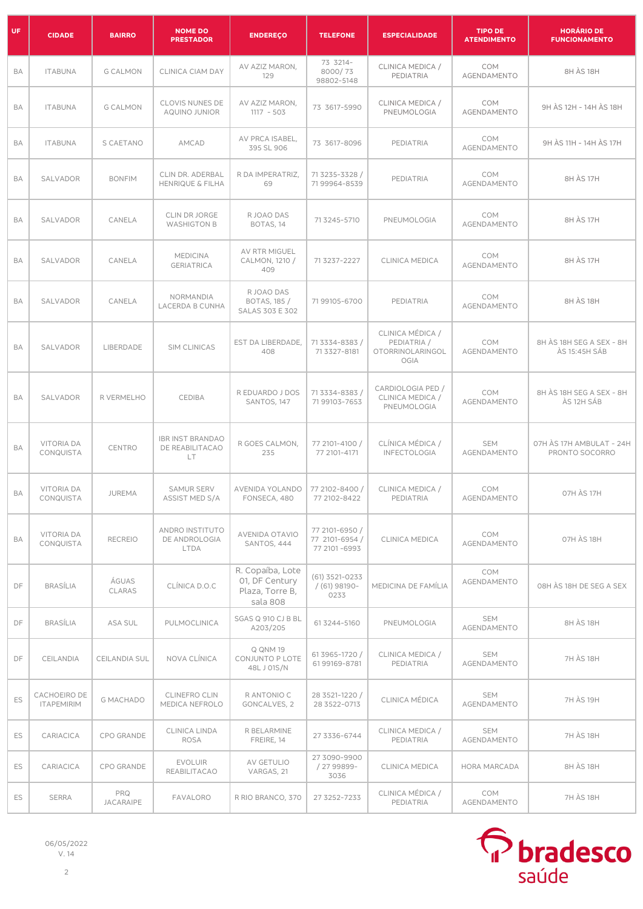| <b>UF</b> | <b>CIDADE</b>                     | <b>BAIRRO</b>           | <b>NOME DO</b><br><b>PRESTADOR</b>                | <b>ENDEREÇO</b>                                                   | <b>TELEFONE</b>                                  | <b>ESPECIALIDADE</b>                                        | <b>TIPO DE</b><br><b>ATENDIMENTO</b> | <b>HORÁRIO DE</b><br><b>FUNCIONAMENTO</b>        |
|-----------|-----------------------------------|-------------------------|---------------------------------------------------|-------------------------------------------------------------------|--------------------------------------------------|-------------------------------------------------------------|--------------------------------------|--------------------------------------------------|
| <b>BA</b> | <b>ITABUNA</b>                    | <b>G CALMON</b>         | <b>CLINICA CIAM DAY</b>                           | AV AZIZ MARON,<br>129                                             | 73 3214-<br>8000/73<br>98802-5148                | CLINICA MEDICA /<br>PEDIATRIA                               | <b>COM</b><br>AGENDAMENTO            | 8H ÀS 18H                                        |
| <b>BA</b> | <b>ITABUNA</b>                    | <b>G CALMON</b>         | <b>CLOVIS NUNES DE</b><br>AQUINO JUNIOR           | AV AZIZ MARON,<br>$1117 - 503$                                    | 73 3617-5990                                     | CLINICA MEDICA /<br>PNEUMOLOGIA                             | COM<br>AGENDAMENTO                   | 9H ÀS 12H - 14H ÀS 18H                           |
| BA        | <b>ITABUNA</b>                    | S CAETANO               | AMCAD                                             | AV PRCA ISABEL,<br>395 SL 906                                     | 73 3617-8096                                     | PEDIATRIA                                                   | COM<br>AGENDAMENTO                   | 9H ÀS 11H - 14H ÀS 17H                           |
| <b>BA</b> | SALVADOR                          | <b>BONFIM</b>           | CLIN DR. ADERBAL<br><b>HENRIQUE &amp; FILHA</b>   | R DA IMPERATRIZ,<br>69                                            | 71 3235-3328 /<br>71 99964-8539                  | PEDIATRIA                                                   | COM<br>AGENDAMENTO                   | 8H ÀS 17H                                        |
| <b>BA</b> | SALVADOR                          | CANELA                  | CLIN DR JORGE<br><b>WASHIGTON B</b>               | R JOAO DAS<br>BOTAS, 14                                           | 71 3245-5710                                     | PNEUMOLOGIA                                                 | COM<br>AGENDAMENTO                   | 8H ÀS 17H                                        |
| <b>BA</b> | SALVADOR                          | CANELA                  | <b>MEDICINA</b><br><b>GERIATRICA</b>              | AV RTR MIGUEL<br>CALMON, 1210 /<br>409                            | 71 3237-2227                                     | <b>CLINICA MEDICA</b>                                       | <b>COM</b><br>AGENDAMENTO            | 8H ÀS 17H                                        |
| BA        | SALVADOR                          | CANELA                  | NORMANDIA<br><b>LACERDA B CUNHA</b>               | R JOAO DAS<br>BOTAS, 185 /<br><b>SALAS 303 E 302</b>              | 71 99105-6700                                    | PEDIATRIA                                                   | COM<br>AGENDAMENTO                   | 8H ÀS 18H                                        |
| <b>BA</b> | SALVADOR                          | LIBERDADE               | <b>SIM CLINICAS</b>                               | EST DA LIBERDADE,<br>408                                          | 71 3334-8383 /<br>71 3327-8181                   | CLINICA MÉDICA /<br>PEDIATRIA /<br>OTORRINOLARINGOL<br>OGIA | COM<br>AGENDAMENTO                   | 8H ÀS 18H SEG A SEX - 8H<br><b>AS 15:45H SÁB</b> |
| <b>BA</b> | SALVADOR                          | R VERMELHO              | CEDIBA                                            | R EDUARDO J DOS<br>SANTOS, 147                                    | 71 3334-8383 /<br>71 99103-7653                  | CARDIOLOGIA PED /<br>CLINICA MEDICA /<br>PNEUMOLOGIA        | COM<br>AGENDAMENTO                   | 8H ÀS 18H SEG A SEX - 8H<br>ÀS 12H SÁB           |
| BA        | <b>VITORIA DA</b><br>CONQUISTA    | CENTRO                  | <b>IBR INST BRANDAO</b><br>DE REABILITACAO<br>LT. | R GOES CALMON,<br>235                                             | 77 2101-4100 /<br>77 2101-4171                   | CLÍNICA MÉDICA /<br><b>INFECTOLOGIA</b>                     | <b>SEM</b><br>AGENDAMENTO            | 07H ÀS 17H AMBULAT - 24H<br>PRONTO SOCORRO       |
| BA        | <b>VITORIA DA</b><br>CONQUISTA    | <b>JUREMA</b>           | <b>SAMUR SERV</b><br>ASSIST MED S/A               | AVENIDA YOLANDO<br>FONSECA, 480                                   | 77 2102-8400 /<br>77 2102-8422                   | CLINICA MEDICA /<br>PEDIATRIA                               | <b>COM</b><br>AGENDAMENTO            | 07H ÀS 17H                                       |
| BA        | <b>VITORIA DA</b><br>CONQUISTA    | <b>RECREIO</b>          | ANDRO INSTITUTO<br>DE ANDROLOGIA<br><b>LTDA</b>   | AVENIDA OTAVIO<br>SANTOS, 444                                     | 77 2101-6950 /<br>77 2101-6954 /<br>77 2101-6993 | CLINICA MEDICA                                              | COM<br>AGENDAMENTO                   | 07H ÀS 18H                                       |
| DF        | <b>BRASÍLIA</b>                   | ÁGUAS<br>CLARAS         | CLÍNICA D.O.C                                     | R. Copaíba, Lote<br>01, DF Century<br>Plaza, Torre B,<br>sala 808 | $(61)$ 3521-0233<br>$/$ (61) 98190-<br>0233      | MEDICINA DE FAMÍLIA                                         | COM<br>AGENDAMENTO                   | 08H ÀS 18H DE SEG A SEX                          |
| DF        | <b>BRASÍLIA</b>                   | <b>ASA SUL</b>          | PULMOCLINICA                                      | SGAS Q 910 CJ B BL<br>A203/205                                    | 61 3244-5160                                     | PNEUMOLOGIA                                                 | <b>SEM</b><br>AGENDAMENTO            | 8H ÀS 18H                                        |
| DF        | CEILANDIA                         | <b>CEILANDIA SUL</b>    | NOVA CLÍNICA                                      | Q QNM 19<br>CONJUNTO P LOTE<br>48L J 01S/N                        | 613965-1720 /<br>61 99169-8781                   | CLINICA MEDICA /<br>PEDIATRIA                               | <b>SEM</b><br>AGENDAMENTO            | <b>7H ÀS 18H</b>                                 |
| ES        | CACHOEIRO DE<br><b>ITAPEMIRIM</b> | <b>G MACHADO</b>        | CLINEFRO CLIN<br>MEDICA NEFROLO                   | R ANTONIO C<br>GONCALVES, 2                                       | 28 3521-1220 /<br>28 3522-0713                   | <b>CLINICA MÉDICA</b>                                       | <b>SEM</b><br>AGENDAMENTO            | 7H ÀS 19H                                        |
| ES        | CARIACICA                         | CPO GRANDE              | CLINICA LINDA<br><b>ROSA</b>                      | R BELARMINE<br>FREIRE, 14                                         | 27 3336-6744                                     | CLINICA MEDICA /<br>PEDIATRIA                               | <b>SEM</b><br>AGENDAMENTO            | <b>7H ÀS 18H</b>                                 |
| ES        | CARIACICA                         | CPO GRANDE              | <b>EVOLUIR</b><br><b>REABILITACAO</b>             | AV GETULIO<br>VARGAS, 21                                          | 27 3090-9900<br>/ 27 99899-<br>3036              | CLINICA MEDICA                                              | <b>HORA MARCADA</b>                  | 8H ÀS 18H                                        |
| ES        | <b>SERRA</b>                      | PRQ<br><b>JACARAIPE</b> | FAVALORO                                          | R RIO BRANCO, 370                                                 | 27 3252-7233                                     | CLINICA MÉDICA /<br>PEDIATRIA                               | COM<br>AGENDAMENTO                   | <b>7H ÀS 18H</b>                                 |



06/05/2022 V. 14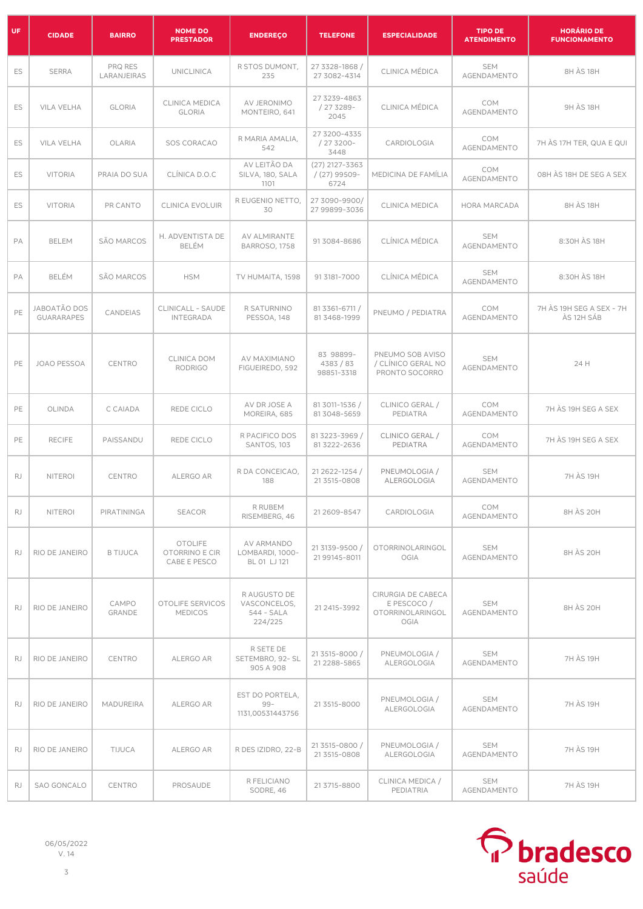| UF        | <b>CIDADE</b>                            | <b>BAIRRO</b>          | <b>NOME DO</b><br><b>PRESTADOR</b>               | <b>ENDEREÇO</b>                                       | <b>TELEFONE</b>                            | <b>ESPECIALIDADE</b>                                                 | <b>TIPO DE</b><br><b>ATENDIMENTO</b> | <b>HORÁRIO DE</b><br><b>FUNCIONAMENTO</b> |
|-----------|------------------------------------------|------------------------|--------------------------------------------------|-------------------------------------------------------|--------------------------------------------|----------------------------------------------------------------------|--------------------------------------|-------------------------------------------|
| <b>ES</b> | <b>SERRA</b>                             | PRQ RES<br>LARANJEIRAS | <b>UNICLINICA</b>                                | R STOS DUMONT,<br>235                                 | 27 3328-1868 /<br>27 3082-4314             | CLINICA MÉDICA                                                       | <b>SEM</b><br>AGENDAMENTO            | 8H ÀS 18H                                 |
| ES        | <b>VILA VELHA</b>                        | <b>GLORIA</b>          | CLINICA MEDICA<br><b>GLORIA</b>                  | AV JERONIMO<br>MONTEIRO, 641                          | 27 3239-4863<br>/ 27 3289-<br>2045         | CLINICA MÉDICA                                                       | COM<br>AGENDAMENTO                   | <b>9H ÀS 18H</b>                          |
| ES        | VILA VELHA                               | OLARIA                 | SOS CORACAO                                      | R MARIA AMALIA,<br>542                                | 27 3200-4335<br>/ 27 3200-<br>3448         | CARDIOLOGIA                                                          | COM<br>AGENDAMENTO                   | 7H ÀS 17H TER, QUA E QUI                  |
| ES        | <b>VITORIA</b>                           | PRAIA DO SUA           | CLÍNICA D.O.C                                    | AV LEITÃO DA<br>SILVA, 180, SALA<br>1101              | $(27)$ 2127-3363<br>$/(27)$ 99509-<br>6724 | MEDICINA DE FAMÍLIA                                                  | COM<br>AGENDAMENTO                   | 08H ÀS 18H DE SEG A SEX                   |
| <b>ES</b> | <b>VITORIA</b>                           | PR CANTO               | <b>CLINICA EVOLUIR</b>                           | R EUGENIO NETTO,<br>30                                | 27 3090-9900/<br>27 99899-3036             | CLINICA MEDICA                                                       | <b>HORA MARCADA</b>                  | 8H ÀS 18H                                 |
| PA        | <b>BELEM</b>                             | SÃO MARCOS             | H. ADVENTISTA DE<br>BELÉM                        | <b>AV ALMIRANTE</b><br>BARROSO, 1758                  | 913084-8686                                | CLÍNICA MÉDICA                                                       | <b>SEM</b><br>AGENDAMENTO            | 8:30H ÀS 18H                              |
| PA        | <b>BELÉM</b>                             | SÃO MARCOS             | <b>HSM</b>                                       | TV HUMAITA, 1598                                      | 91 3181-7000                               | CLÍNICA MÉDICA                                                       | <b>SEM</b><br>AGENDAMENTO            | 8:30H ÀS 18H                              |
| PE        | <b>JABOATÃO DOS</b><br><b>GUARARAPES</b> | CANDEIAS               | <b>CLINICALL - SAUDE</b><br><b>INTEGRADA</b>     | R SATURNINO<br>PESSOA, 148                            | 81 3361-6711 /<br>813468-1999              | PNEUMO / PEDIATRA                                                    | COM<br>AGENDAMENTO                   | 7H ÀS 19H SEG A SEX - 7H<br>ÀS 12H SÁB    |
| PE        | <b>JOAO PESSOA</b>                       | CENTRO                 | <b>CLINICA DOM</b><br><b>RODRIGO</b>             | AV MAXIMIANO<br>FIGUEIREDO, 592                       | 83 98899-<br>4383 / 83<br>98851-3318       | PNEUMO SOB AVISO<br>/ CLÍNICO GERAL NO<br>PRONTO SOCORRO             | <b>SEM</b><br>AGENDAMENTO            | 24 H                                      |
| PE        | OLINDA                                   | C CAIADA               | REDE CICLO                                       | AV DR JOSE A<br>MOREIRA, 685                          | 81 3011-1536 /<br>813048-5659              | CLINICO GERAL /<br>PEDIATRA                                          | COM<br>AGENDAMENTO                   | 7H AS 19H SEG A SEX                       |
| PE        | <b>RECIFE</b>                            | PAISSANDU              | REDE CICLO                                       | R PACIFICO DOS<br>SANTOS, 103                         | 81 3223-3969 /<br>81 3222-2636             | CLINICO GERAL /<br><b>PEDIATRA</b>                                   | COM<br>AGENDAMENTO                   | 7H ÀS 19H SEG A SEX                       |
| <b>RJ</b> | <b>NITEROI</b>                           | CENTRO                 | ALERGO AR                                        | R DA CONCEICAO.<br>188                                | 21 2622-1254 /<br>21 3515-0808             | PNEUMOLOGIA /<br><b>ALERGOLOGIA</b>                                  | <b>SEM</b><br>AGENDAMENTO            | <b>7H ÀS 19H</b>                          |
| <b>RJ</b> | <b>NITEROI</b>                           | PIRATININGA            | <b>SEACOR</b>                                    | R RUBEM<br>RISEMBERG, 46                              | 21 2609-8547                               | CARDIOLOGIA                                                          | COM<br>AGENDAMENTO                   | 8H ÀS 20H                                 |
| <b>RJ</b> | RIO DE JANEIRO                           | <b>B TIJUCA</b>        | <b>OTOLIFE</b><br>OTORRINO E CIR<br>CABE E PESCO | AV ARMANDO<br>LOMBARDI, 1000-<br>BL 01 LJ 121         | 21 3139-9500 /<br>21 99145-8011            | <b>OTORRINOLARINGOL</b><br>OGIA                                      | <b>SEM</b><br>AGENDAMENTO            | 8H ÀS 20H                                 |
| <b>RJ</b> | RIO DE JANEIRO                           | CAMPO<br>GRANDE        | <b>OTOLIFE SERVICOS</b><br><b>MEDICOS</b>        | R AUGUSTO DE<br>VASCONCELOS,<br>544 - SALA<br>224/225 | 21 2415-3992                               | CIRURGIA DE CABECA<br>E PESCOCO /<br><b>OTORRINOLARINGOL</b><br>OGIA | <b>SEM</b><br>AGENDAMENTO            | 8H ÀS 20H                                 |
| <b>RJ</b> | RIO DE JANEIRO                           | CENTRO                 | ALERGO AR                                        | R SETE DE<br>SETEMBRO, 92-SL<br>905 A 908             | 21 3515-8000 /<br>21 2288-5865             | PNEUMOLOGIA /<br>ALERGOLOGIA                                         | <b>SEM</b><br>AGENDAMENTO            | 7H ÀS 19H                                 |
| <b>RJ</b> | RIO DE JANEIRO                           | MADUREIRA              | ALERGO AR                                        | EST DO PORTELA,<br>$99 -$<br>1131,00531443756         | 21 3515-8000                               | PNEUMOLOGIA /<br>ALERGOLOGIA                                         | <b>SEM</b><br>AGENDAMENTO            | 7H ÀS 19H                                 |
| <b>RJ</b> | RIO DE JANEIRO                           | <b>TIJUCA</b>          | ALERGO AR                                        | R DES IZIDRO, 22-B                                    | 21 3515-0800 /<br>21 3515-0808             | PNEUMOLOGIA /<br>ALERGOLOGIA                                         | <b>SEM</b><br>AGENDAMENTO            | 7H ÀS 19H                                 |
| <b>RJ</b> | <b>SAO GONCALO</b>                       | CENTRO                 | PROSAUDE                                         | R FELICIANO<br>SODRE, 46                              | 21 3715-8800                               | CLINICA MEDICA /<br>PEDIATRIA                                        | <b>SEM</b><br>AGENDAMENTO            | 7H ÀS 19H                                 |

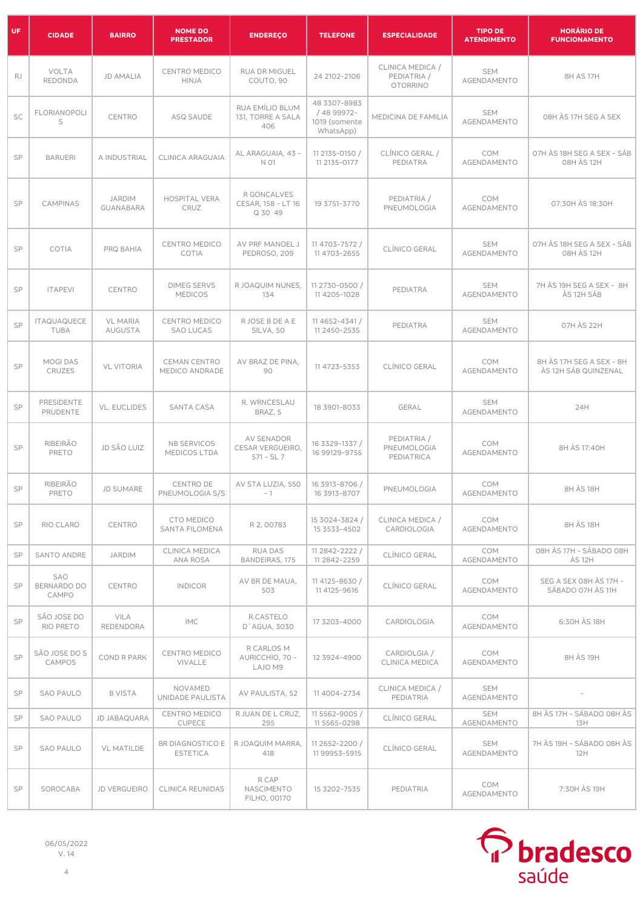| <b>UF</b> | <b>CIDADE</b>                      | <b>BAIRRO</b>                     | <b>NOME DO</b><br><b>PRESTADOR</b>       | <b>ENDEREÇO</b>                                      | <b>TELEFONE</b>                                           | <b>ESPECIALIDADE</b>                               | <b>TIPO DE</b><br><b>ATENDIMENTO</b> | <b>HORÁRIO DE</b><br><b>FUNCIONAMENTO</b>        |
|-----------|------------------------------------|-----------------------------------|------------------------------------------|------------------------------------------------------|-----------------------------------------------------------|----------------------------------------------------|--------------------------------------|--------------------------------------------------|
| <b>RJ</b> | <b>VOLTA</b><br><b>REDONDA</b>     | <b>JD AMALIA</b>                  | <b>CENTRO MEDICO</b><br><b>HINJA</b>     | <b>RUA DR MIGUEL</b><br>COUTO, 90                    | 24 2102-2106                                              | CLINICA MEDICA /<br>PEDIATRIA /<br><b>OTORRINO</b> | <b>SEM</b><br>AGENDAMENTO            | 8H AS 17H                                        |
| <b>SC</b> | FLORIANOPOLI<br>S                  | CENTRO                            | ASQ SAUDE                                | RUA EMÍLIO BLUM<br>131, TORRE A SALA<br>406          | 48 3307-8983<br>/ 48 99972-<br>1019 (somente<br>WhatsApp) | MEDICINA DE FAMILIA                                | <b>SEM</b><br>AGENDAMENTO            | 08H ÀS 17H SEG A SEX                             |
| SP        | <b>BARUERI</b>                     | A INDUSTRIAL                      | <b>CLINICA ARAGUAIA</b>                  | AL ARAGUAIA, 43 -<br>N 01                            | 11 2135-0150 /<br>11 2135-0177                            | CLÍNICO GERAL /<br>PEDIATRA                        | COM<br>AGENDAMENTO                   | 07H ÀS 18H SEG A SEX - SÁB<br>08H ÀS 12H         |
| SP        | <b>CAMPINAS</b>                    | <b>JARDIM</b><br><b>GUANABARA</b> | <b>HOSPITAL VERA</b><br>CRUZ             | R GONCALVES<br>CESAR, 158 - LT 16<br>Q 30 49         | 19 3751-3770                                              | PEDIATRIA /<br>PNEUMOLOGIA                         | COM<br>AGENDAMENTO                   | 07:30H ÀS 18:30H                                 |
| SP        | COTIA                              | PRQ BAHIA                         | <b>CENTRO MEDICO</b><br>COTIA            | AV PRF MANOEL J<br>PEDROSO, 209                      | 11 4703-7572 /<br>11 4703-2655                            | CLÍNICO GERAL                                      | <b>SEM</b><br>AGENDAMENTO            | 07H ÀS 18H SEG A SEX - SÁB<br>08H ÀS 12H         |
| SP        | <b>ITAPEVI</b>                     | CENTRO                            | <b>DIMEG SERVS</b><br><b>MEDICOS</b>     | R JOAQUIM NUNES.<br>134                              | 11 2730-0500 /<br>11 4205-1028                            | <b>PEDIATRA</b>                                    | <b>SEM</b><br>AGENDAMENTO            | 7H ÀS 19H SEG A SEX - 8H<br>ÀS 12H SÁB           |
| SP        | <b>ITAQUAQUECE</b><br><b>TUBA</b>  | <b>VL MARIA</b><br><b>AUGUSTA</b> | <b>CENTRO MEDICO</b><br><b>SAO LUCAS</b> | R JOSE B DE A E<br>SILVA, 50                         | 11 4652-4341 /<br>11 2450-2535                            | PEDIATRA                                           | <b>SEM</b><br>AGENDAMENTO            | 07H ÀS 22H                                       |
| SP        | MOGI DAS<br>CRUZES                 | <b>VL VITORIA</b>                 | <b>CEMAN CENTRO</b><br>MEDICO ANDRADE    | AV BRAZ DE PINA,<br>90                               | 11 4723-5353                                              | CLÍNICO GERAL                                      | COM<br>AGENDAMENTO                   | 8H ÀS 17H SEG A SEX - 8H<br>ÀS 12H SÁB QUINZENAL |
| SP        | PRESIDENTE<br>PRUDENTE             | <b>VL. EUCLIDES</b>               | <b>SANTA CASA</b>                        | R. WRNCESLAU<br>BRAZ, 5                              | 18 3901-8033                                              | <b>GERAL</b>                                       | <b>SEM</b><br>AGENDAMENTO            | 24H                                              |
| SP        | <b>RIBEIRÃO</b><br>PRETO           | JD SÃO LUIZ                       | NB SERVICOS<br>MEDICOS LTDA              | <b>AV SENADOR</b><br>CESAR VERGUEIRO,<br>$571 - SL7$ | 16 3329-1337 /<br>16 99129-9755                           | PEDIATRIA /<br>PNEUMOLOGIA<br>PEDIATRICA           | COM<br>AGENDAMENTO                   | 8H ÀS 17:40H                                     |
| SP        | RIBEIRÃO<br>PRETO                  | <b>JD SUMARE</b>                  | CENTRO DE<br>PNEUMOLOGIA S/S             | AV STA LUZIA, 550<br>$-1$                            | 16 3913-8706 /<br>16 3913-8707                            | PNEUMOLOGIA                                        | COM<br>AGENDAMENTO                   | 8H ÀS 18H                                        |
| <b>SP</b> | RIO CLARO                          | <b>CENTRO</b>                     | CTO MEDICO<br>SANTA FILOMENA             | R 2, 00783                                           | 15 3024-3824 /<br>15 3533-4502                            | CLINICA MEDICA /<br>CARDIOLOGIA                    | COM<br>AGENDAMENTO                   | 8H ÀS 18H                                        |
| <b>SP</b> | <b>SANTO ANDRE</b>                 | <b>JARDIM</b>                     | CLINICA MEDICA<br><b>ANA ROSA</b>        | RUA DAS<br>BANDEIRAS, 175                            | 11 2842-2222 /<br>11 2842-2259                            | CLÍNICO GERAL                                      | <b>COM</b><br>AGENDAMENTO            | 08H ÀS 17H - SÁBADO 08H<br><b>ÀS 12H</b>         |
| SP        | <b>SAO</b><br>BERNARDO DO<br>CAMPO | CENTRO                            | <b>INDICOR</b>                           | AV BR DE MAUA,<br>503                                | 11 4125-8630 /<br>11 4125-9616                            | CLÍNICO GERAL                                      | COM<br>AGENDAMENTO                   | SEG A SEX O8H ÀS 17H -<br>SÁBADO 07H ÀS 11H      |
| SP        | SÃO JOSE DO<br>RIO PRETO           | <b>VILA</b><br>REDENDORA          | <b>IMC</b>                               | R.CASTELO<br>D'AGUA, 3030                            | 17 3203-4000                                              | CARDIOLOGIA                                        | COM<br>AGENDAMENTO                   | 6:30H ÀS 18H                                     |
| SP        | SÃO JOSE DO S<br>CAMPOS            | COND R PARK                       | <b>CENTRO MEDICO</b><br>VIVALLE          | R CARLOS M<br>AURICCHIO, 70 -<br>LAJO M9             | 12 3924-4900                                              | CARDIOLGIA /<br><b>CLINICA MEDICA</b>              | COM<br>AGENDAMENTO                   | 8H ÀS 19H                                        |
| SP        | <b>SAO PAULO</b>                   | <b>B VISTA</b>                    | <b>NOVAMED</b><br>UNIDADE PAULISTA       | AV PAULISTA, 52                                      | 11 4004-2734                                              | CLINICA MEDICA /<br>PEDIATRIA                      | <b>SEM</b><br>AGENDAMENTO            |                                                  |
| <b>SP</b> | <b>SAO PAULO</b>                   | <b>JD JABAQUARA</b>               | <b>CENTRO MEDICO</b><br>CUPECE           | R JUAN DE L CRUZ,<br>295                             | 11 5562-9005 /<br>11 5565-0298                            | CLÍNICO GERAL                                      | <b>SEM</b><br>AGENDAMENTO            | 8H ÀS 17H - SÁBADO 08H ÀS<br>13H                 |
| SP        | <b>SAO PAULO</b>                   | <b>VL MATILDE</b>                 | BR DIAGNOSTICO E<br><b>ESTETICA</b>      | R JOAQUIM MARRA,<br>418                              | 11 2652-2200 /<br>1199953-5915                            | CLÍNICO GERAL                                      | <b>SEM</b><br>AGENDAMENTO            | 7H ÀS 19H - SÁBADO 08H ÀS<br>12H                 |
| SP        | SOROCABA                           | <b>JD VERGUEIRO</b>               | CLINICA REUNIDAS                         | R CAP<br>NASCIMENTO<br>FILHO, 00170                  | 15 3202-7535                                              | PEDIATRIA                                          | COM<br>AGENDAMENTO                   | 7:30H ÀS 19H                                     |